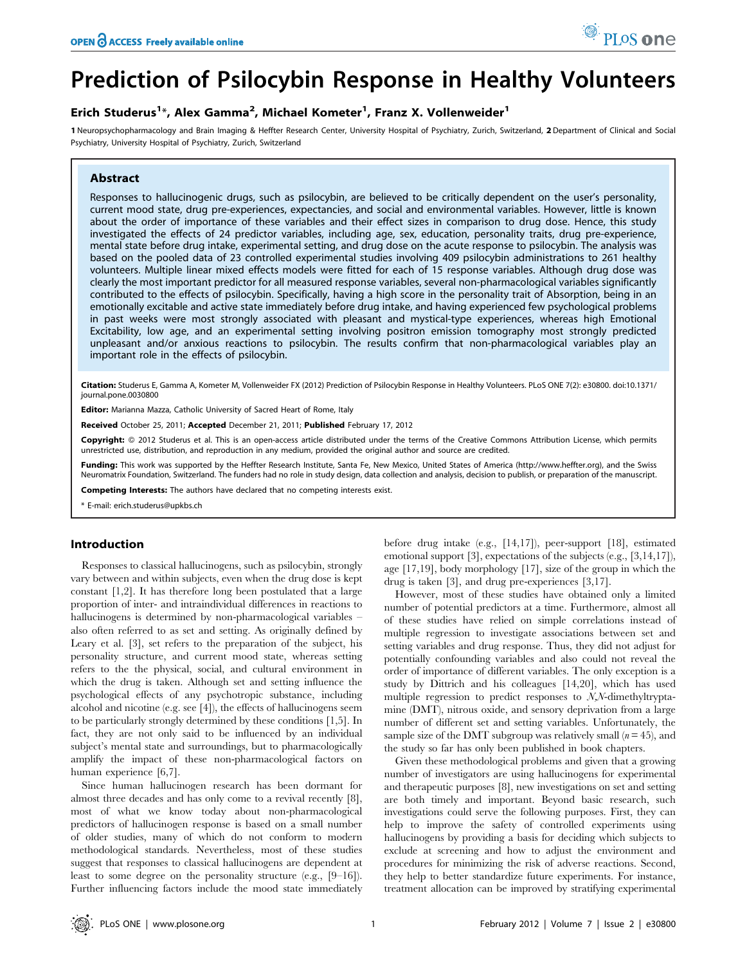# Prediction of Psilocybin Response in Healthy Volunteers

# Erich Studerus<sup>1\*</sup>, Alex Gamma<sup>2</sup>, Michael Kometer<sup>1</sup>, Franz X. Vollenweider<sup>1</sup>

1 Neuropsychopharmacology and Brain Imaging & Heffter Research Center, University Hospital of Psychiatry, Zurich, Switzerland, 2 Department of Clinical and Social Psychiatry, University Hospital of Psychiatry, Zurich, Switzerland

# Abstract

Responses to hallucinogenic drugs, such as psilocybin, are believed to be critically dependent on the user's personality, current mood state, drug pre-experiences, expectancies, and social and environmental variables. However, little is known about the order of importance of these variables and their effect sizes in comparison to drug dose. Hence, this study investigated the effects of 24 predictor variables, including age, sex, education, personality traits, drug pre-experience, mental state before drug intake, experimental setting, and drug dose on the acute response to psilocybin. The analysis was based on the pooled data of 23 controlled experimental studies involving 409 psilocybin administrations to 261 healthy volunteers. Multiple linear mixed effects models were fitted for each of 15 response variables. Although drug dose was clearly the most important predictor for all measured response variables, several non-pharmacological variables significantly contributed to the effects of psilocybin. Specifically, having a high score in the personality trait of Absorption, being in an emotionally excitable and active state immediately before drug intake, and having experienced few psychological problems in past weeks were most strongly associated with pleasant and mystical-type experiences, whereas high Emotional Excitability, low age, and an experimental setting involving positron emission tomography most strongly predicted unpleasant and/or anxious reactions to psilocybin. The results confirm that non-pharmacological variables play an important role in the effects of psilocybin.

Citation: Studerus E, Gamma A, Kometer M, Vollenweider FX (2012) Prediction of Psilocybin Response in Healthy Volunteers. PLoS ONE 7(2): e30800. doi:10.1371/ journal.pone.0030800

Editor: Marianna Mazza, Catholic University of Sacred Heart of Rome, Italy

Received October 25, 2011; Accepted December 21, 2011; Published February 17, 2012

Copyright: © 2012 Studerus et al. This is an open-access article distributed under the terms of the Creative Commons Attribution License, which permits .<br>estricted use, distribution, and reproduction in any medium, provided the original author and source are credited.

Funding: This work was supported by the Heffter Research Institute, Santa Fe, New Mexico, United States of America (http://www.heffter.org), and the Swiss Neuromatrix Foundation, Switzerland. The funders had no role in study design, data collection and analysis, decision to publish, or preparation of the manuscript.

Competing Interests: The authors have declared that no competing interests exist.

\* E-mail: erich.studerus@upkbs.ch

# Introduction

Responses to classical hallucinogens, such as psilocybin, strongly vary between and within subjects, even when the drug dose is kept constant [1,2]. It has therefore long been postulated that a large proportion of inter- and intraindividual differences in reactions to hallucinogens is determined by non-pharmacological variables – also often referred to as set and setting. As originally defined by Leary et al. [3], set refers to the preparation of the subject, his personality structure, and current mood state, whereas setting refers to the the physical, social, and cultural environment in which the drug is taken. Although set and setting influence the psychological effects of any psychotropic substance, including alcohol and nicotine (e.g. see [4]), the effects of hallucinogens seem to be particularly strongly determined by these conditions [1,5]. In fact, they are not only said to be influenced by an individual subject's mental state and surroundings, but to pharmacologically amplify the impact of these non-pharmacological factors on human experience [6,7].

Since human hallucinogen research has been dormant for almost three decades and has only come to a revival recently [8], most of what we know today about non-pharmacological predictors of hallucinogen response is based on a small number of older studies, many of which do not conform to modern methodological standards. Nevertheless, most of these studies suggest that responses to classical hallucinogens are dependent at least to some degree on the personality structure (e.g., [9–16]). Further influencing factors include the mood state immediately before drug intake (e.g., [14,17]), peer-support [18], estimated emotional support [3], expectations of the subjects (e.g., [3,14,17]), age [17,19], body morphology [17], size of the group in which the drug is taken [3], and drug pre-experiences [3,17].

However, most of these studies have obtained only a limited number of potential predictors at a time. Furthermore, almost all of these studies have relied on simple correlations instead of multiple regression to investigate associations between set and setting variables and drug response. Thus, they did not adjust for potentially confounding variables and also could not reveal the order of importance of different variables. The only exception is a study by Dittrich and his colleagues [14,20], which has used multiple regression to predict responses to N,N-dimethyltryptamine (DMT), nitrous oxide, and sensory deprivation from a large number of different set and setting variables. Unfortunately, the sample size of the DMT subgroup was relatively small  $(n=45)$ , and the study so far has only been published in book chapters.

Given these methodological problems and given that a growing number of investigators are using hallucinogens for experimental and therapeutic purposes [8], new investigations on set and setting are both timely and important. Beyond basic research, such investigations could serve the following purposes. First, they can help to improve the safety of controlled experiments using hallucinogens by providing a basis for deciding which subjects to exclude at screening and how to adjust the environment and procedures for minimizing the risk of adverse reactions. Second, they help to better standardize future experiments. For instance, treatment allocation can be improved by stratifying experimental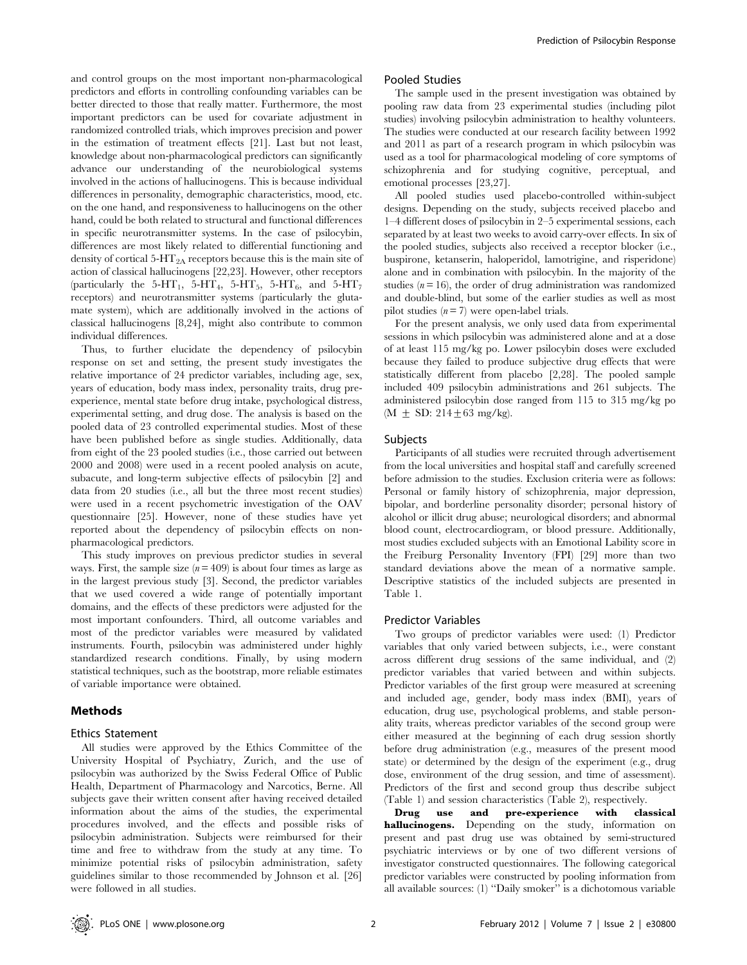and control groups on the most important non-pharmacological predictors and efforts in controlling confounding variables can be better directed to those that really matter. Furthermore, the most important predictors can be used for covariate adjustment in randomized controlled trials, which improves precision and power in the estimation of treatment effects [21]. Last but not least, knowledge about non-pharmacological predictors can significantly advance our understanding of the neurobiological systems involved in the actions of hallucinogens. This is because individual differences in personality, demographic characteristics, mood, etc. on the one hand, and responsiveness to hallucinogens on the other hand, could be both related to structural and functional differences in specific neurotransmitter systems. In the case of psilocybin, differences are most likely related to differential functioning and density of cortical  $5-\text{HT}_{2\text{A}}$  receptors because this is the main site of action of classical hallucinogens [22,23]. However, other receptors (particularly the 5-HT<sub>1</sub>, 5-HT<sub>4</sub>, 5-HT<sub>5</sub>, 5-HT<sub>6</sub>, and 5-HT<sub>7</sub> receptors) and neurotransmitter systems (particularly the glutamate system), which are additionally involved in the actions of classical hallucinogens [8,24], might also contribute to common individual differences.

Thus, to further elucidate the dependency of psilocybin response on set and setting, the present study investigates the relative importance of 24 predictor variables, including age, sex, years of education, body mass index, personality traits, drug preexperience, mental state before drug intake, psychological distress, experimental setting, and drug dose. The analysis is based on the pooled data of 23 controlled experimental studies. Most of these have been published before as single studies. Additionally, data from eight of the 23 pooled studies (i.e., those carried out between 2000 and 2008) were used in a recent pooled analysis on acute, subacute, and long-term subjective effects of psilocybin [2] and data from 20 studies (i.e., all but the three most recent studies) were used in a recent psychometric investigation of the OAV questionnaire [25]. However, none of these studies have yet reported about the dependency of psilocybin effects on nonpharmacological predictors.

This study improves on previous predictor studies in several ways. First, the sample size  $(n = 409)$  is about four times as large as in the largest previous study [3]. Second, the predictor variables that we used covered a wide range of potentially important domains, and the effects of these predictors were adjusted for the most important confounders. Third, all outcome variables and most of the predictor variables were measured by validated instruments. Fourth, psilocybin was administered under highly standardized research conditions. Finally, by using modern statistical techniques, such as the bootstrap, more reliable estimates of variable importance were obtained.

# Methods

## Ethics Statement

All studies were approved by the Ethics Committee of the University Hospital of Psychiatry, Zurich, and the use of psilocybin was authorized by the Swiss Federal Office of Public Health, Department of Pharmacology and Narcotics, Berne. All subjects gave their written consent after having received detailed information about the aims of the studies, the experimental procedures involved, and the effects and possible risks of psilocybin administration. Subjects were reimbursed for their time and free to withdraw from the study at any time. To minimize potential risks of psilocybin administration, safety guidelines similar to those recommended by Johnson et al. [26] were followed in all studies.

#### Pooled Studies

The sample used in the present investigation was obtained by pooling raw data from 23 experimental studies (including pilot studies) involving psilocybin administration to healthy volunteers. The studies were conducted at our research facility between 1992 and 2011 as part of a research program in which psilocybin was used as a tool for pharmacological modeling of core symptoms of schizophrenia and for studying cognitive, perceptual, and emotional processes [23,27].

All pooled studies used placebo-controlled within-subject designs. Depending on the study, subjects received placebo and 1–4 different doses of psilocybin in 2–5 experimental sessions, each separated by at least two weeks to avoid carry-over effects. In six of the pooled studies, subjects also received a receptor blocker (i.e., buspirone, ketanserin, haloperidol, lamotrigine, and risperidone) alone and in combination with psilocybin. In the majority of the studies  $(n = 16)$ , the order of drug administration was randomized and double-blind, but some of the earlier studies as well as most pilot studies  $(n = 7)$  were open-label trials.

For the present analysis, we only used data from experimental sessions in which psilocybin was administered alone and at a dose of at least 115 mg/kg po. Lower psilocybin doses were excluded because they failed to produce subjective drug effects that were statistically different from placebo [2,28]. The pooled sample included 409 psilocybin administrations and 261 subjects. The administered psilocybin dose ranged from 115 to 315 mg/kg po  $(M \pm SD: 214 \pm 63 \text{ mg/kg}).$ 

#### Subjects

Participants of all studies were recruited through advertisement from the local universities and hospital staff and carefully screened before admission to the studies. Exclusion criteria were as follows: Personal or family history of schizophrenia, major depression, bipolar, and borderline personality disorder; personal history of alcohol or illicit drug abuse; neurological disorders; and abnormal blood count, electrocardiogram, or blood pressure. Additionally, most studies excluded subjects with an Emotional Lability score in the Freiburg Personality Inventory (FPI) [29] more than two standard deviations above the mean of a normative sample. Descriptive statistics of the included subjects are presented in Table 1.

#### Predictor Variables

Two groups of predictor variables were used: (1) Predictor variables that only varied between subjects, i.e., were constant across different drug sessions of the same individual, and (2) predictor variables that varied between and within subjects. Predictor variables of the first group were measured at screening and included age, gender, body mass index (BMI), years of education, drug use, psychological problems, and stable personality traits, whereas predictor variables of the second group were either measured at the beginning of each drug session shortly before drug administration (e.g., measures of the present mood state) or determined by the design of the experiment (e.g., drug dose, environment of the drug session, and time of assessment). Predictors of the first and second group thus describe subject (Table 1) and session characteristics (Table 2), respectively.

Drug use and pre-experience with classical hallucinogens. Depending on the study, information on present and past drug use was obtained by semi-structured psychiatric interviews or by one of two different versions of investigator constructed questionnaires. The following categorical predictor variables were constructed by pooling information from all available sources: (1) ''Daily smoker'' is a dichotomous variable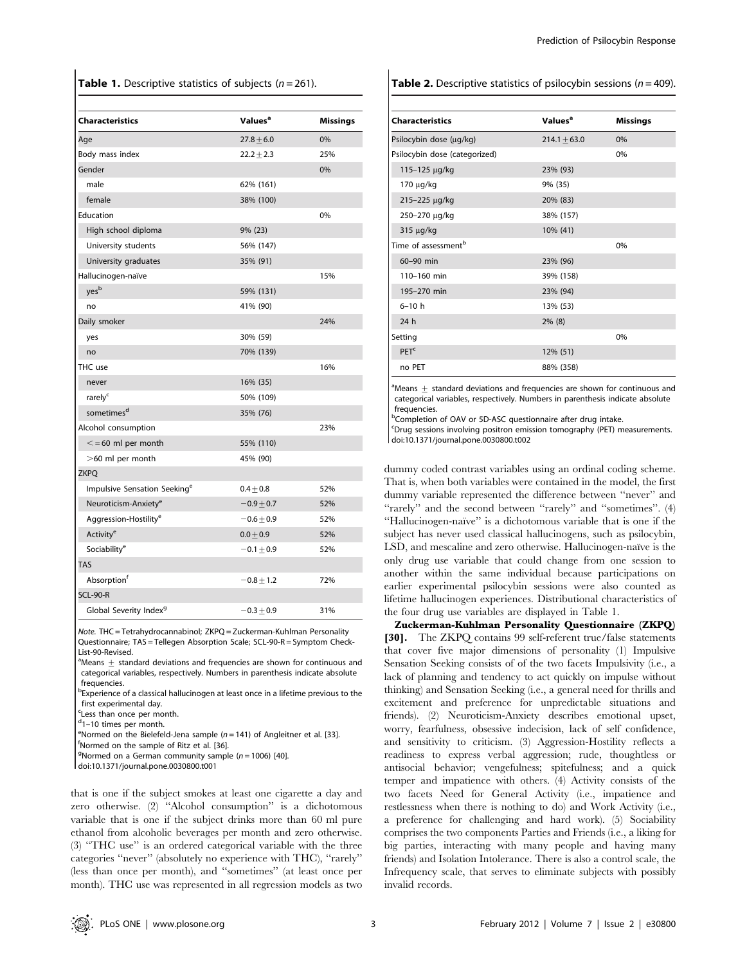**Table 1.** Descriptive statistics of subjects  $(n = 261)$ .

| <b>Characteristics</b>                   | <b>Values</b> <sup>a</sup> | Missings |
|------------------------------------------|----------------------------|----------|
| Age                                      | $27.8 \pm 6.0$             | 0%       |
| Body mass index                          | $22.2 \pm 2.3$             | 25%      |
| Gender                                   |                            | 0%       |
| male                                     | 62% (161)                  |          |
| female                                   | 38% (100)                  |          |
| Education                                |                            | 0%       |
| High school diploma                      | 9% (23)                    |          |
| University students                      | 56% (147)                  |          |
| University graduates                     | 35% (91)                   |          |
| Hallucinogen-naïve                       |                            | 15%      |
| yesb                                     | 59% (131)                  |          |
| no                                       | 41% (90)                   |          |
| Daily smoker                             |                            | 24%      |
| yes                                      | 30% (59)                   |          |
| no                                       | 70% (139)                  |          |
| THC use                                  |                            | 16%      |
| never                                    | 16% (35)                   |          |
| rarely <sup>c</sup>                      | 50% (109)                  |          |
| sometimes <sup>d</sup>                   | 35% (76)                   |          |
| Alcohol consumption                      |                            | 23%      |
| $\le$ = 60 ml per month                  | 55% (110)                  |          |
| >60 ml per month                         | 45% (90)                   |          |
| <b>ZKPQ</b>                              |                            |          |
| Impulsive Sensation Seeking <sup>e</sup> | $0.4 + 0.8$                | 52%      |
| Neuroticism-Anxiety <sup>e</sup>         | $-0.9 \pm 0.7$             | 52%      |
| Aggression-Hostility <sup>e</sup>        | $-0.6 \pm 0.9$             | 52%      |
| Activity <sup>e</sup>                    | $0.0 \pm 0.9$              | 52%      |
| Sociability <sup>e</sup>                 | $-0.1 \pm 0.9$             | 52%      |
| <b>TAS</b>                               |                            |          |
| Absorptionf                              | $-0.8 + 1.2$               | 72%      |
| <b>SCL-90-R</b>                          |                            |          |
| Global Severity Index <sup>9</sup>       | $-0.3\pm0.9$               | 31%      |

Note. THC = Tetrahydrocannabinol; ZKPQ = Zuckerman-Kuhlman Personality Questionnaire; TAS = Tellegen Absorption Scale; SCL-90-R = Symptom Check-List-90-Revised.

 $^{\text{a}}$ Means  $\pm$  standard deviations and frequencies are shown for continuous and categorical variables, respectively. Numbers in parenthesis indicate absolute frequencies

**<sup>b</sup>Experience of a classical hallucinogen at least once in a lifetime previous to the** first experimental day.

<sup>c</sup>Less than once per month.

<sup>d</sup>1-10 times per month.

<sup>e</sup>Normed on the Bielefeld-Jena sample ( $n = 141$ ) of Angleitner et al. [33].

Normed on the sample of Ritz et al. [36].

<sup>9</sup>Normed on a German community sample  $(n = 1006)$  [40].

doi:10.1371/journal.pone.0030800.t001

that is one if the subject smokes at least one cigarette a day and zero otherwise. (2) ''Alcohol consumption'' is a dichotomous variable that is one if the subject drinks more than 60 ml pure ethanol from alcoholic beverages per month and zero otherwise. (3) ''THC use'' is an ordered categorical variable with the three categories ''never'' (absolutely no experience with THC), ''rarely'' (less than once per month), and ''sometimes'' (at least once per month). THC use was represented in all regression models as two **Table 2.** Descriptive statistics of psilocybin sessions ( $n = 409$ ).

| <b>Characteristics</b>          | Values <sup>a</sup> | <b>Missings</b> |
|---------------------------------|---------------------|-----------------|
| Psilocybin dose (µg/kg)         | $214.1 + 63.0$      | 0%              |
| Psilocybin dose (categorized)   |                     | 0%              |
| 115-125 µg/kg                   | 23% (93)            |                 |
| 170 μg/kg                       | 9% (35)             |                 |
| 215-225 µg/kg                   | 20% (83)            |                 |
| 250-270 μg/kg                   | 38% (157)           |                 |
| $315 \mu g/kg$                  | 10% (41)            |                 |
| Time of assessment <sup>b</sup> |                     | 0%              |
| 60-90 min                       | 23% (96)            |                 |
| 110-160 min                     | 39% (158)           |                 |
| 195-270 min                     | 23% (94)            |                 |
| $6 - 10 h$                      | 13% (53)            |                 |
| 24 h                            | $2\%$ (8)           |                 |
| Setting                         |                     | 0%              |
| <b>PET<sup>c</sup></b>          | 12% (51)            |                 |
| no PET                          | 88% (358)           |                 |

 $^{\text{a}}$ Means  $\pm$  standard deviations and frequencies are shown for continuous and categorical variables, respectively. Numbers in parenthesis indicate absolute frequencies.

<sup>b</sup>Completion of OAV or 5D-ASC questionnaire after drug intake.

<sup>c</sup>Drug sessions involving positron emission tomography (PET) measurements. doi:10.1371/journal.pone.0030800.t002

dummy coded contrast variables using an ordinal coding scheme. That is, when both variables were contained in the model, the first dummy variable represented the difference between ''never'' and "rarely" and the second between "rarely" and "sometimes". (4) "Hallucinogen-naïve" is a dichotomous variable that is one if the subject has never used classical hallucinogens, such as psilocybin, LSD, and mescaline and zero otherwise. Hallucinogen-naïve is the only drug use variable that could change from one session to another within the same individual because participations on earlier experimental psilocybin sessions were also counted as lifetime hallucinogen experiences. Distributional characteristics of the four drug use variables are displayed in Table 1.

Zuckerman-Kuhlman Personality Questionnaire (ZKPQ) [30]. The ZKPQ contains 99 self-referent true/false statements that cover five major dimensions of personality (1) Impulsive Sensation Seeking consists of of the two facets Impulsivity (i.e., a lack of planning and tendency to act quickly on impulse without thinking) and Sensation Seeking (i.e., a general need for thrills and excitement and preference for unpredictable situations and friends). (2) Neuroticism-Anxiety describes emotional upset, worry, fearfulness, obsessive indecision, lack of self confidence, and sensitivity to criticism. (3) Aggression-Hostility reflects a readiness to express verbal aggression; rude, thoughtless or antisocial behavior; vengefulness; spitefulness; and a quick temper and impatience with others. (4) Activity consists of the two facets Need for General Activity (i.e., impatience and restlessness when there is nothing to do) and Work Activity (i.e., a preference for challenging and hard work). (5) Sociability comprises the two components Parties and Friends (i.e., a liking for big parties, interacting with many people and having many friends) and Isolation Intolerance. There is also a control scale, the Infrequency scale, that serves to eliminate subjects with possibly invalid records.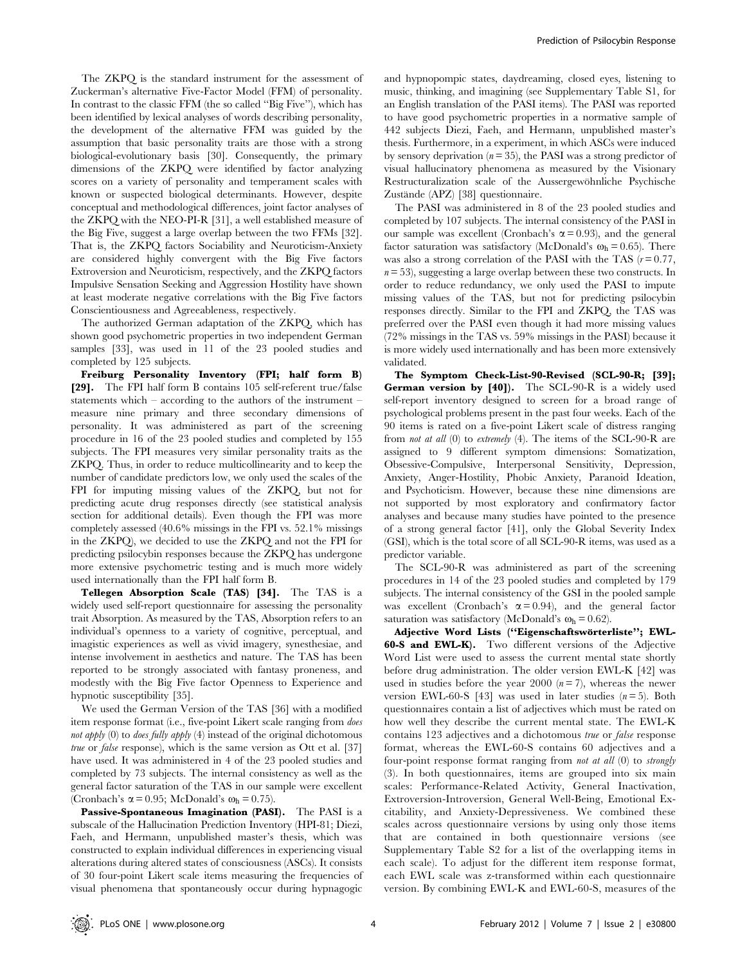The ZKPQ is the standard instrument for the assessment of Zuckerman's alternative Five-Factor Model (FFM) of personality. In contrast to the classic FFM (the so called ''Big Five''), which has been identified by lexical analyses of words describing personality, the development of the alternative FFM was guided by the assumption that basic personality traits are those with a strong biological-evolutionary basis [30]. Consequently, the primary dimensions of the ZKPQ were identified by factor analyzing scores on a variety of personality and temperament scales with known or suspected biological determinants. However, despite conceptual and methodological differences, joint factor analyses of the ZKPQ with the NEO-PI-R [31], a well established measure of the Big Five, suggest a large overlap between the two FFMs [32]. That is, the ZKPQ factors Sociability and Neuroticism-Anxiety are considered highly convergent with the Big Five factors Extroversion and Neuroticism, respectively, and the ZKPQ factors Impulsive Sensation Seeking and Aggression Hostility have shown at least moderate negative correlations with the Big Five factors Conscientiousness and Agreeableness, respectively.

The authorized German adaptation of the ZKPQ, which has shown good psychometric properties in two independent German samples [33], was used in 11 of the 23 pooled studies and completed by 125 subjects.

Freiburg Personality Inventory (FPI; half form B) [29]. The FPI half form B contains 105 self-referent true/false statements which – according to the authors of the instrument – measure nine primary and three secondary dimensions of personality. It was administered as part of the screening procedure in 16 of the 23 pooled studies and completed by 155 subjects. The FPI measures very similar personality traits as the ZKPQ. Thus, in order to reduce multicollinearity and to keep the number of candidate predictors low, we only used the scales of the FPI for imputing missing values of the ZKPQ, but not for predicting acute drug responses directly (see statistical analysis section for additional details). Even though the FPI was more completely assessed (40.6% missings in the FPI vs. 52.1% missings in the ZKPQ), we decided to use the ZKPQ and not the FPI for predicting psilocybin responses because the ZKPQ has undergone more extensive psychometric testing and is much more widely used internationally than the FPI half form B.

Tellegen Absorption Scale (TAS) [34]. The TAS is a widely used self-report questionnaire for assessing the personality trait Absorption. As measured by the TAS, Absorption refers to an individual's openness to a variety of cognitive, perceptual, and imagistic experiences as well as vivid imagery, synesthesiae, and intense involvement in aesthetics and nature. The TAS has been reported to be strongly associated with fantasy proneness, and modestly with the Big Five factor Openness to Experience and hypnotic susceptibility [35].

We used the German Version of the TAS [36] with a modified item response format (i.e., five-point Likert scale ranging from does not apply  $(0)$  to *does fully apply*  $(4)$  instead of the original dichotomous true or false response), which is the same version as Ott et al. [37] have used. It was administered in 4 of the 23 pooled studies and completed by 73 subjects. The internal consistency as well as the general factor saturation of the TAS in our sample were excellent (Cronbach's  $\alpha$  = 0.95; McDonald's  $\omega_h$  = 0.75).

Passive-Spontaneous Imagination (PASI). The PASI is a subscale of the Hallucination Prediction Inventory (HPI-81; Diezi, Faeh, and Hermann, unpublished master's thesis, which was constructed to explain individual differences in experiencing visual alterations during altered states of consciousness (ASCs). It consists of 30 four-point Likert scale items measuring the frequencies of visual phenomena that spontaneously occur during hypnagogic

and hypnopompic states, daydreaming, closed eyes, listening to music, thinking, and imagining (see Supplementary Table S1, for an English translation of the PASI items). The PASI was reported to have good psychometric properties in a normative sample of 442 subjects Diezi, Faeh, and Hermann, unpublished master's thesis. Furthermore, in a experiment, in which ASCs were induced by sensory deprivation ( $n = 35$ ), the PASI was a strong predictor of visual hallucinatory phenomena as measured by the Visionary Restructuralization scale of the Aussergewöhnliche Psychische Zustände (APZ) [38] questionnaire.

The PASI was administered in 8 of the 23 pooled studies and completed by 107 subjects. The internal consistency of the PASI in our sample was excellent (Cronbach's  $\alpha$  = 0.93), and the general factor saturation was satisfactory (McDonald's  $\omega_h = 0.65$ ). There was also a strong correlation of the PASI with the TAS  $(r=0.77,$  $n = 53$ ), suggesting a large overlap between these two constructs. In order to reduce redundancy, we only used the PASI to impute missing values of the TAS, but not for predicting psilocybin responses directly. Similar to the FPI and ZKPQ, the TAS was preferred over the PASI even though it had more missing values (72% missings in the TAS vs. 59% missings in the PASI) because it is more widely used internationally and has been more extensively validated.

The Symptom Check-List-90-Revised (SCL-90-R; [39]; German version by [40]). The SCL-90-R is a widely used self-report inventory designed to screen for a broad range of psychological problems present in the past four weeks. Each of the 90 items is rated on a five-point Likert scale of distress ranging from not at all (0) to extremely (4). The items of the SCL-90-R are assigned to 9 different symptom dimensions: Somatization, Obsessive-Compulsive, Interpersonal Sensitivity, Depression, Anxiety, Anger-Hostility, Phobic Anxiety, Paranoid Ideation, and Psychoticism. However, because these nine dimensions are not supported by most exploratory and confirmatory factor analyses and because many studies have pointed to the presence of a strong general factor [41], only the Global Severity Index (GSI), which is the total score of all SCL-90-R items, was used as a predictor variable.

The SCL-90-R was administered as part of the screening procedures in 14 of the 23 pooled studies and completed by 179 subjects. The internal consistency of the GSI in the pooled sample was excellent (Cronbach's  $\alpha = 0.94$ ), and the general factor saturation was satisfactory (McDonald's  $\omega_h = 0.62$ ).

Adjective Word Lists ("Eigenschaftswörterliste"; EWL-60-S and EWL-K). Two different versions of the Adjective Word List were used to assess the current mental state shortly before drug administration. The older version EWL-K [42] was used in studies before the year 2000  $(n=7)$ , whereas the newer version EWL-60-S [43] was used in later studies  $(n=5)$ . Both questionnaires contain a list of adjectives which must be rated on how well they describe the current mental state. The EWL-K contains 123 adjectives and a dichotomous true or false response format, whereas the EWL-60-S contains 60 adjectives and a four-point response format ranging from not at all (0) to strongly (3). In both questionnaires, items are grouped into six main scales: Performance-Related Activity, General Inactivation, Extroversion-Introversion, General Well-Being, Emotional Excitability, and Anxiety-Depressiveness. We combined these scales across questionnaire versions by using only those items that are contained in both questionnaire versions (see Supplementary Table S2 for a list of the overlapping items in each scale). To adjust for the different item response format, each EWL scale was z-transformed within each questionnaire version. By combining EWL-K and EWL-60-S, measures of the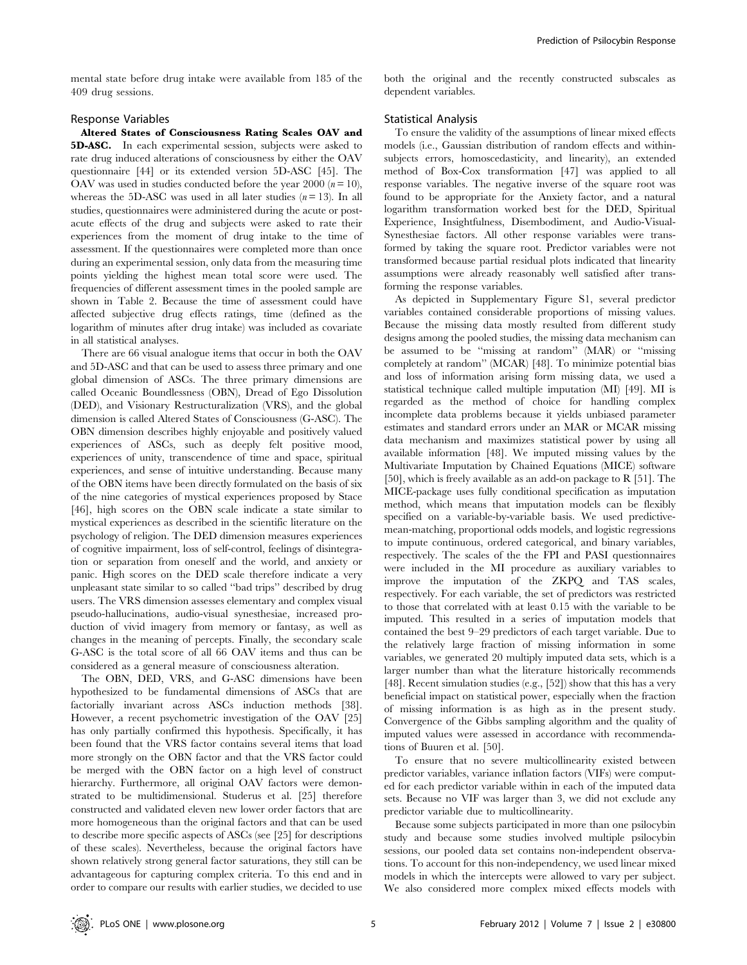mental state before drug intake were available from 185 of the 409 drug sessions.

## Response Variables

Altered States of Consciousness Rating Scales OAV and 5D-ASC. In each experimental session, subjects were asked to rate drug induced alterations of consciousness by either the OAV questionnaire [44] or its extended version 5D-ASC [45]. The OAV was used in studies conducted before the year 2000  $(n = 10)$ , whereas the 5D-ASC was used in all later studies  $(n = 13)$ . In all studies, questionnaires were administered during the acute or postacute effects of the drug and subjects were asked to rate their experiences from the moment of drug intake to the time of assessment. If the questionnaires were completed more than once during an experimental session, only data from the measuring time points yielding the highest mean total score were used. The frequencies of different assessment times in the pooled sample are shown in Table 2. Because the time of assessment could have affected subjective drug effects ratings, time (defined as the logarithm of minutes after drug intake) was included as covariate in all statistical analyses.

There are 66 visual analogue items that occur in both the OAV and 5D-ASC and that can be used to assess three primary and one global dimension of ASCs. The three primary dimensions are called Oceanic Boundlessness (OBN), Dread of Ego Dissolution (DED), and Visionary Restructuralization (VRS), and the global dimension is called Altered States of Consciousness (G-ASC). The OBN dimension describes highly enjoyable and positively valued experiences of ASCs, such as deeply felt positive mood, experiences of unity, transcendence of time and space, spiritual experiences, and sense of intuitive understanding. Because many of the OBN items have been directly formulated on the basis of six of the nine categories of mystical experiences proposed by Stace [46], high scores on the OBN scale indicate a state similar to mystical experiences as described in the scientific literature on the psychology of religion. The DED dimension measures experiences of cognitive impairment, loss of self-control, feelings of disintegration or separation from oneself and the world, and anxiety or panic. High scores on the DED scale therefore indicate a very unpleasant state similar to so called ''bad trips'' described by drug users. The VRS dimension assesses elementary and complex visual pseudo-hallucinations, audio-visual synesthesiae, increased production of vivid imagery from memory or fantasy, as well as changes in the meaning of percepts. Finally, the secondary scale G-ASC is the total score of all 66 OAV items and thus can be considered as a general measure of consciousness alteration.

The OBN, DED, VRS, and G-ASC dimensions have been hypothesized to be fundamental dimensions of ASCs that are factorially invariant across ASCs induction methods [38]. However, a recent psychometric investigation of the OAV [25] has only partially confirmed this hypothesis. Specifically, it has been found that the VRS factor contains several items that load more strongly on the OBN factor and that the VRS factor could be merged with the OBN factor on a high level of construct hierarchy. Furthermore, all original OAV factors were demonstrated to be multidimensional. Studerus et al. [25] therefore constructed and validated eleven new lower order factors that are more homogeneous than the original factors and that can be used to describe more specific aspects of ASCs (see [25] for descriptions of these scales). Nevertheless, because the original factors have shown relatively strong general factor saturations, they still can be advantageous for capturing complex criteria. To this end and in order to compare our results with earlier studies, we decided to use

both the original and the recently constructed subscales as dependent variables.

#### Statistical Analysis

To ensure the validity of the assumptions of linear mixed effects models (i.e., Gaussian distribution of random effects and withinsubjects errors, homoscedasticity, and linearity), an extended method of Box-Cox transformation [47] was applied to all response variables. The negative inverse of the square root was found to be appropriate for the Anxiety factor, and a natural logarithm transformation worked best for the DED, Spiritual Experience, Insightfulness, Disembodiment, and Audio-Visual-Synesthesiae factors. All other response variables were transformed by taking the square root. Predictor variables were not transformed because partial residual plots indicated that linearity assumptions were already reasonably well satisfied after transforming the response variables.

As depicted in Supplementary Figure S1, several predictor variables contained considerable proportions of missing values. Because the missing data mostly resulted from different study designs among the pooled studies, the missing data mechanism can be assumed to be ''missing at random'' (MAR) or ''missing completely at random'' (MCAR) [48]. To minimize potential bias and loss of information arising form missing data, we used a statistical technique called multiple imputation (MI) [49]. MI is regarded as the method of choice for handling complex incomplete data problems because it yields unbiased parameter estimates and standard errors under an MAR or MCAR missing data mechanism and maximizes statistical power by using all available information [48]. We imputed missing values by the Multivariate Imputation by Chained Equations (MICE) software [50], which is freely available as an add-on package to R [51]. The MICE-package uses fully conditional specification as imputation method, which means that imputation models can be flexibly specified on a variable-by-variable basis. We used predictivemean-matching, proportional odds models, and logistic regressions to impute continuous, ordered categorical, and binary variables, respectively. The scales of the the FPI and PASI questionnaires were included in the MI procedure as auxiliary variables to improve the imputation of the ZKPQ and TAS scales, respectively. For each variable, the set of predictors was restricted to those that correlated with at least 0.15 with the variable to be imputed. This resulted in a series of imputation models that contained the best 9–29 predictors of each target variable. Due to the relatively large fraction of missing information in some variables, we generated 20 multiply imputed data sets, which is a larger number than what the literature historically recommends [48]. Recent simulation studies (e.g., [52]) show that this has a very beneficial impact on statistical power, especially when the fraction of missing information is as high as in the present study. Convergence of the Gibbs sampling algorithm and the quality of imputed values were assessed in accordance with recommendations of Buuren et al. [50].

To ensure that no severe multicollinearity existed between predictor variables, variance inflation factors (VIFs) were computed for each predictor variable within in each of the imputed data sets. Because no VIF was larger than 3, we did not exclude any predictor variable due to multicollinearity.

Because some subjects participated in more than one psilocybin study and because some studies involved multiple psilocybin sessions, our pooled data set contains non-independent observations. To account for this non-independency, we used linear mixed models in which the intercepts were allowed to vary per subject. We also considered more complex mixed effects models with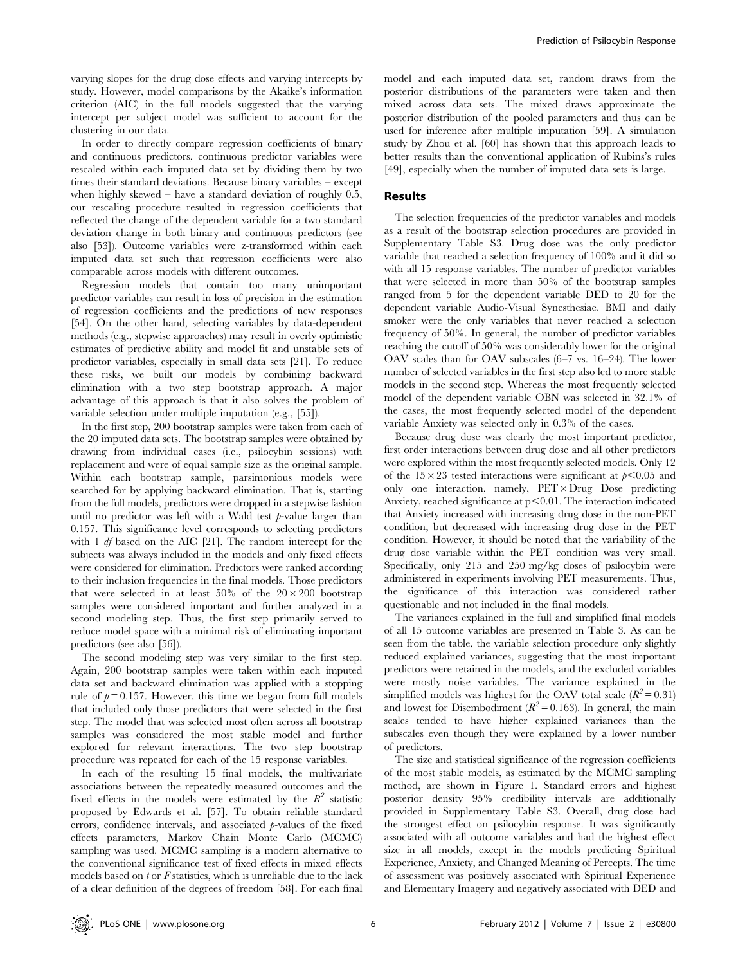varying slopes for the drug dose effects and varying intercepts by study. However, model comparisons by the Akaike's information criterion (AIC) in the full models suggested that the varying intercept per subject model was sufficient to account for the clustering in our data.

In order to directly compare regression coefficients of binary and continuous predictors, continuous predictor variables were rescaled within each imputed data set by dividing them by two times their standard deviations. Because binary variables – except when highly skewed – have a standard deviation of roughly 0.5, our rescaling procedure resulted in regression coefficients that reflected the change of the dependent variable for a two standard deviation change in both binary and continuous predictors (see also [53]). Outcome variables were z-transformed within each imputed data set such that regression coefficients were also comparable across models with different outcomes.

Regression models that contain too many unimportant predictor variables can result in loss of precision in the estimation of regression coefficients and the predictions of new responses [54]. On the other hand, selecting variables by data-dependent methods (e.g., stepwise approaches) may result in overly optimistic estimates of predictive ability and model fit and unstable sets of predictor variables, especially in small data sets [21]. To reduce these risks, we built our models by combining backward elimination with a two step bootstrap approach. A major advantage of this approach is that it also solves the problem of variable selection under multiple imputation (e.g., [55]).

In the first step, 200 bootstrap samples were taken from each of the 20 imputed data sets. The bootstrap samples were obtained by drawing from individual cases (i.e., psilocybin sessions) with replacement and were of equal sample size as the original sample. Within each bootstrap sample, parsimonious models were searched for by applying backward elimination. That is, starting from the full models, predictors were dropped in a stepwise fashion until no predictor was left with a Wald test  $p$ -value larger than 0.157. This significance level corresponds to selecting predictors with 1 *df* based on the AIC [21]. The random intercept for the subjects was always included in the models and only fixed effects were considered for elimination. Predictors were ranked according to their inclusion frequencies in the final models. Those predictors that were selected in at least  $50\%$  of the  $20 \times 200$  bootstrap samples were considered important and further analyzed in a second modeling step. Thus, the first step primarily served to reduce model space with a minimal risk of eliminating important predictors (see also [56]).

The second modeling step was very similar to the first step. Again, 200 bootstrap samples were taken within each imputed data set and backward elimination was applied with a stopping rule of  $p = 0.157$ . However, this time we began from full models that included only those predictors that were selected in the first step. The model that was selected most often across all bootstrap samples was considered the most stable model and further explored for relevant interactions. The two step bootstrap procedure was repeated for each of the 15 response variables.

In each of the resulting 15 final models, the multivariate associations between the repeatedly measured outcomes and the fixed effects in the models were estimated by the  $R^2$  statistic proposed by Edwards et al. [57]. To obtain reliable standard errors, confidence intervals, and associated  $p$ -values of the fixed effects parameters, Markov Chain Monte Carlo (MCMC) sampling was used. MCMC sampling is a modern alternative to the conventional significance test of fixed effects in mixed effects models based on  $t$  or  $F$  statistics, which is unreliable due to the lack of a clear definition of the degrees of freedom [58]. For each final model and each imputed data set, random draws from the posterior distributions of the parameters were taken and then mixed across data sets. The mixed draws approximate the posterior distribution of the pooled parameters and thus can be used for inference after multiple imputation [59]. A simulation study by Zhou et al. [60] has shown that this approach leads to better results than the conventional application of Rubins's rules [49], especially when the number of imputed data sets is large.

#### Results

The selection frequencies of the predictor variables and models as a result of the bootstrap selection procedures are provided in Supplementary Table S3. Drug dose was the only predictor variable that reached a selection frequency of 100% and it did so with all 15 response variables. The number of predictor variables that were selected in more than 50% of the bootstrap samples ranged from 5 for the dependent variable DED to 20 for the dependent variable Audio-Visual Synesthesiae. BMI and daily smoker were the only variables that never reached a selection frequency of 50%. In general, the number of predictor variables reaching the cutoff of 50% was considerably lower for the original OAV scales than for OAV subscales (6–7 vs. 16–24). The lower number of selected variables in the first step also led to more stable models in the second step. Whereas the most frequently selected model of the dependent variable OBN was selected in 32.1% of the cases, the most frequently selected model of the dependent variable Anxiety was selected only in 0.3% of the cases.

Because drug dose was clearly the most important predictor, first order interactions between drug dose and all other predictors were explored within the most frequently selected models. Only 12 of the  $15\times23$  tested interactions were significant at  $p<0.05$  and only one interaction, namely,  $PET \times Drug$  Dose predicting Anxiety, reached significance at  $p<0.01$ . The interaction indicated that Anxiety increased with increasing drug dose in the non-PET condition, but decreased with increasing drug dose in the PET condition. However, it should be noted that the variability of the drug dose variable within the PET condition was very small. Specifically, only 215 and 250 mg/kg doses of psilocybin were administered in experiments involving PET measurements. Thus, the significance of this interaction was considered rather questionable and not included in the final models.

The variances explained in the full and simplified final models of all 15 outcome variables are presented in Table 3. As can be seen from the table, the variable selection procedure only slightly reduced explained variances, suggesting that the most important predictors were retained in the models, and the excluded variables were mostly noise variables. The variance explained in the simplified models was highest for the OAV total scale ( $R^2 = 0.31$ ) and lowest for Disembodiment ( $R^2 = 0.163$ ). In general, the main scales tended to have higher explained variances than the subscales even though they were explained by a lower number of predictors.

The size and statistical significance of the regression coefficients of the most stable models, as estimated by the MCMC sampling method, are shown in Figure 1. Standard errors and highest posterior density 95% credibility intervals are additionally provided in Supplementary Table S3. Overall, drug dose had the strongest effect on psilocybin response. It was significantly associated with all outcome variables and had the highest effect size in all models, except in the models predicting Spiritual Experience, Anxiety, and Changed Meaning of Percepts. The time of assessment was positively associated with Spiritual Experience and Elementary Imagery and negatively associated with DED and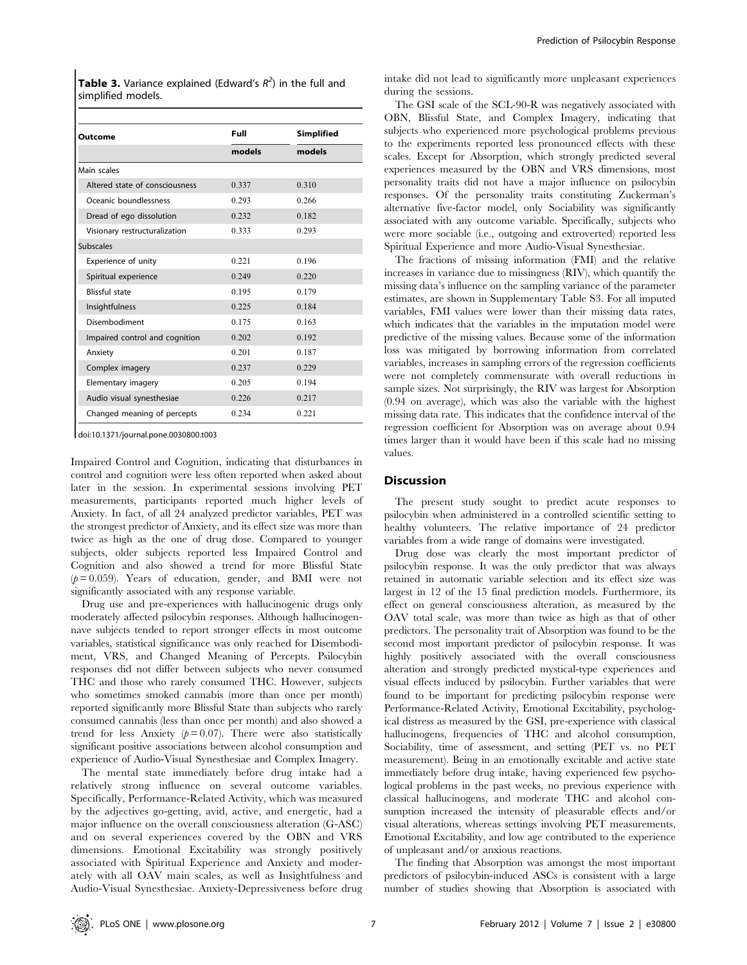**Table 3.** Variance explained (Edward's  $R^2$ ) in the full and simplified models.

| Outcome                        | Full   | Simplified |
|--------------------------------|--------|------------|
|                                | models | models     |
| Main scales                    |        |            |
| Altered state of consciousness | 0.337  | 0.310      |
| Oceanic boundlessness          | 0.293  | 0.266      |
| Dread of ego dissolution       | 0.232  | 0.182      |
| Visionary restructuralization  | 0.333  | 0.293      |
| <b>Subscales</b>               |        |            |
| Experience of unity            | 0.221  | 0.196      |
| Spiritual experience           | 0.249  | 0.220      |
| <b>Blissful state</b>          | 0.195  | 0.179      |
| Insightfulness                 | 0.225  | 0.184      |
| Disembodiment                  | 0.175  | 0.163      |
| Impaired control and cognition | 0.202  | 0.192      |
| Anxiety                        | 0.201  | 0.187      |
| Complex imagery                | 0.237  | 0.229      |
| Elementary imagery             | 0.205  | 0.194      |
| Audio visual synesthesiae      | 0.226  | 0.217      |
| Changed meaning of percepts    | 0.234  | 0.221      |

doi:10.1371/journal.pone.0030800.t003

Impaired Control and Cognition, indicating that disturbances in control and cognition were less often reported when asked about later in the session. In experimental sessions involving PET measurements, participants reported much higher levels of Anxiety. In fact, of all 24 analyzed predictor variables, PET was the strongest predictor of Anxiety, and its effect size was more than twice as high as the one of drug dose. Compared to younger subjects, older subjects reported less Impaired Control and Cognition and also showed a trend for more Blissful State  $(p= 0.059)$ . Years of education, gender, and BMI were not significantly associated with any response variable.

Drug use and pre-experiences with hallucinogenic drugs only moderately affected psilocybin responses. Although hallucinogennave subjects tended to report stronger effects in most outcome variables, statistical significance was only reached for Disembodiment, VRS, and Changed Meaning of Percepts. Psilocybin responses did not differ between subjects who never consumed THC and those who rarely consumed THC. However, subjects who sometimes smoked cannabis (more than once per month) reported significantly more Blissful State than subjects who rarely consumed cannabis (less than once per month) and also showed a trend for less Anxiety  $(p= 0.07)$ . There were also statistically significant positive associations between alcohol consumption and experience of Audio-Visual Synesthesiae and Complex Imagery.

The mental state immediately before drug intake had a relatively strong influence on several outcome variables. Specifically, Performance-Related Activity, which was measured by the adjectives go-getting, avid, active, and energetic, had a major influence on the overall consciousness alteration (G-ASC) and on several experiences covered by the OBN and VRS dimensions. Emotional Excitability was strongly positively associated with Spiritual Experience and Anxiety and moderately with all OAV main scales, as well as Insightfulness and Audio-Visual Synesthesiae. Anxiety-Depressiveness before drug intake did not lead to significantly more unpleasant experiences during the sessions.

The GSI scale of the SCL-90-R was negatively associated with OBN, Blissful State, and Complex Imagery, indicating that subjects who experienced more psychological problems previous to the experiments reported less pronounced effects with these scales. Except for Absorption, which strongly predicted several experiences measured by the OBN and VRS dimensions, most personality traits did not have a major influence on psilocybin responses. Of the personality traits constituting Zuckerman's alternative five-factor model, only Sociability was significantly associated with any outcome variable. Specifically, subjects who were more sociable (i.e., outgoing and extroverted) reported less Spiritual Experience and more Audio-Visual Synesthesiae.

The fractions of missing information (FMI) and the relative increases in variance due to missingness (RIV), which quantify the missing data's influence on the sampling variance of the parameter estimates, are shown in Supplementary Table S3. For all imputed variables, FMI values were lower than their missing data rates, which indicates that the variables in the imputation model were predictive of the missing values. Because some of the information loss was mitigated by borrowing information from correlated variables, increases in sampling errors of the regression coefficients were not completely commensurate with overall reductions in sample sizes. Not surprisingly, the RIV was largest for Absorption (0.94 on average), which was also the variable with the highest missing data rate. This indicates that the confidence interval of the regression coefficient for Absorption was on average about 0.94 times larger than it would have been if this scale had no missing values.

#### **Discussion**

The present study sought to predict acute responses to psilocybin when administered in a controlled scientific setting to healthy volunteers. The relative importance of 24 predictor variables from a wide range of domains were investigated.

Drug dose was clearly the most important predictor of psilocybin response. It was the only predictor that was always retained in automatic variable selection and its effect size was largest in 12 of the 15 final prediction models. Furthermore, its effect on general consciousness alteration, as measured by the OAV total scale, was more than twice as high as that of other predictors. The personality trait of Absorption was found to be the second most important predictor of psilocybin response. It was highly positively associated with the overall consciousness alteration and strongly predicted mystical-type experiences and visual effects induced by psilocybin. Further variables that were found to be important for predicting psilocybin response were Performance-Related Activity, Emotional Excitability, psychological distress as measured by the GSI, pre-experience with classical hallucinogens, frequencies of THC and alcohol consumption, Sociability, time of assessment, and setting (PET vs. no PET measurement). Being in an emotionally excitable and active state immediately before drug intake, having experienced few psychological problems in the past weeks, no previous experience with classical hallucinogens, and moderate THC and alcohol consumption increased the intensity of pleasurable effects and/or visual alterations, whereas settings involving PET measurements, Emotional Excitability, and low age contributed to the experience of unpleasant and/or anxious reactions.

The finding that Absorption was amongst the most important predictors of psilocybin-induced ASCs is consistent with a large number of studies showing that Absorption is associated with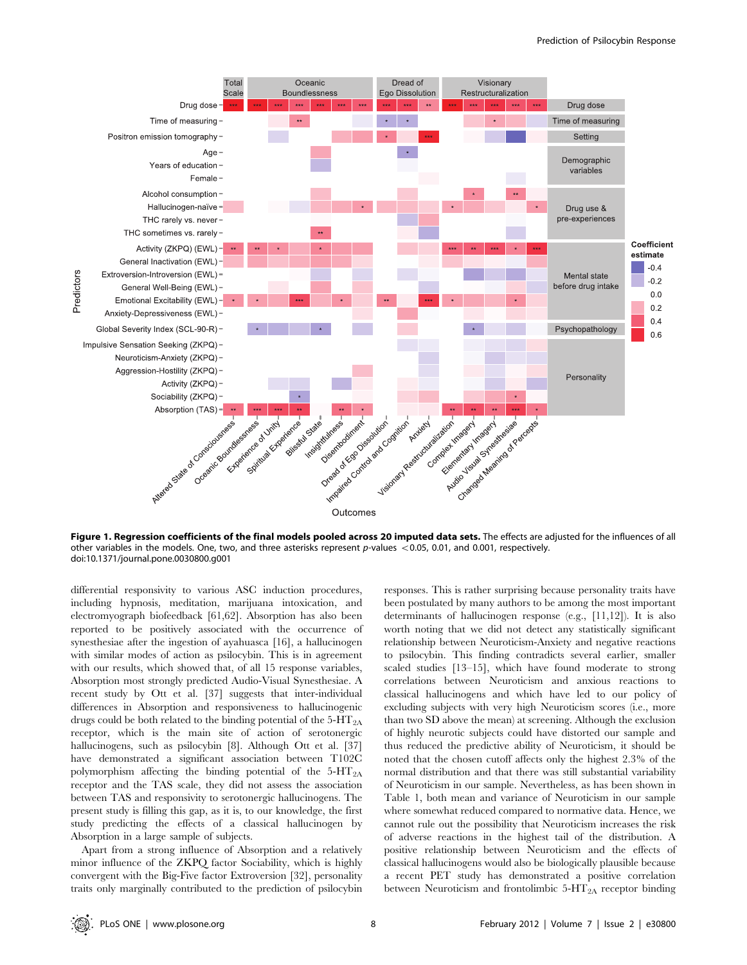

Figure 1. Regression coefficients of the final models pooled across 20 imputed data sets. The effects are adjusted for the influences of all other variables in the models. One, two, and three asterisks represent p-values  $< 0.05$ , 0.01, and 0.001, respectively. doi:10.1371/journal.pone.0030800.g001

differential responsivity to various ASC induction procedures, including hypnosis, meditation, marijuana intoxication, and electromyograph biofeedback [61,62]. Absorption has also been reported to be positively associated with the occurrence of synesthesiae after the ingestion of ayahuasca [16], a hallucinogen with similar modes of action as psilocybin. This is in agreement with our results, which showed that, of all 15 response variables, Absorption most strongly predicted Audio-Visual Synesthesiae. A recent study by Ott et al. [37] suggests that inter-individual differences in Absorption and responsiveness to hallucinogenic drugs could be both related to the binding potential of the  $5-HT_{2A}$ receptor, which is the main site of action of serotonergic hallucinogens, such as psilocybin [8]. Although Ott et al. [37] have demonstrated a significant association between T102C polymorphism affecting the binding potential of the  $5-HT_{2A}$ receptor and the TAS scale, they did not assess the association between TAS and responsivity to serotonergic hallucinogens. The present study is filling this gap, as it is, to our knowledge, the first study predicting the effects of a classical hallucinogen by Absorption in a large sample of subjects.

Apart from a strong influence of Absorption and a relatively minor influence of the ZKPQ factor Sociability, which is highly convergent with the Big-Five factor Extroversion [32], personality traits only marginally contributed to the prediction of psilocybin responses. This is rather surprising because personality traits have been postulated by many authors to be among the most important determinants of hallucinogen response (e.g., [11,12]). It is also worth noting that we did not detect any statistically significant relationship between Neuroticism-Anxiety and negative reactions to psilocybin. This finding contradicts several earlier, smaller scaled studies [13–15], which have found moderate to strong correlations between Neuroticism and anxious reactions to classical hallucinogens and which have led to our policy of excluding subjects with very high Neuroticism scores (i.e., more than two SD above the mean) at screening. Although the exclusion of highly neurotic subjects could have distorted our sample and thus reduced the predictive ability of Neuroticism, it should be noted that the chosen cutoff affects only the highest 2.3% of the normal distribution and that there was still substantial variability of Neuroticism in our sample. Nevertheless, as has been shown in Table 1, both mean and variance of Neuroticism in our sample where somewhat reduced compared to normative data. Hence, we cannot rule out the possibility that Neuroticism increases the risk of adverse reactions in the highest tail of the distribution. A positive relationship between Neuroticism and the effects of classical hallucinogens would also be biologically plausible because a recent PET study has demonstrated a positive correlation between Neuroticism and frontolimbic  $5-HT_{2A}$  receptor binding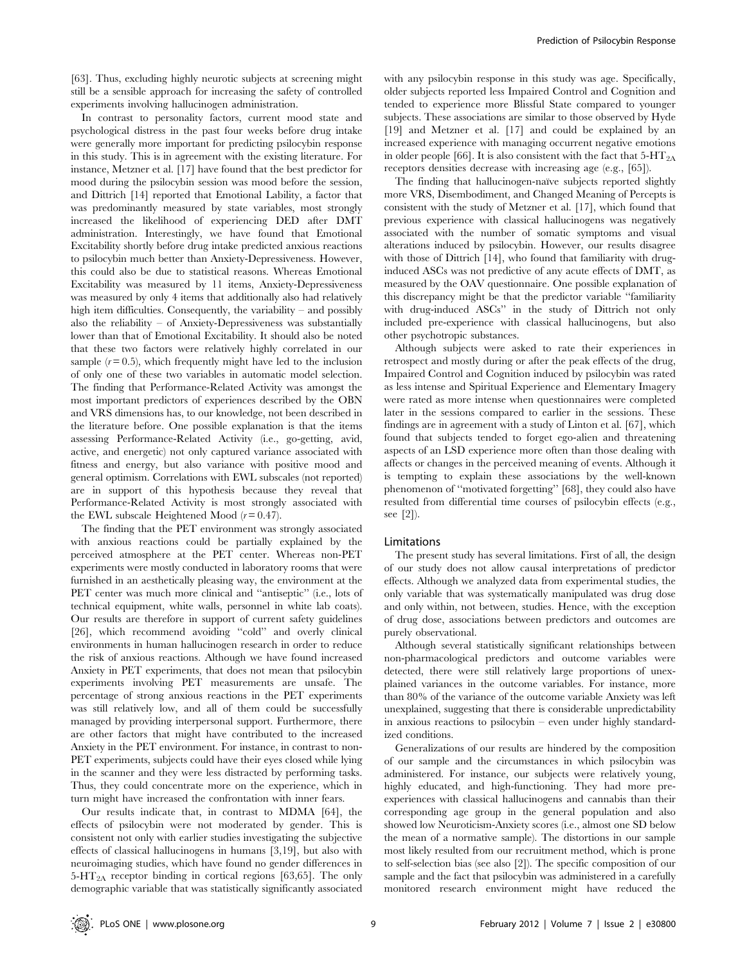[63]. Thus, excluding highly neurotic subjects at screening might still be a sensible approach for increasing the safety of controlled experiments involving hallucinogen administration.

In contrast to personality factors, current mood state and psychological distress in the past four weeks before drug intake were generally more important for predicting psilocybin response in this study. This is in agreement with the existing literature. For instance, Metzner et al. [17] have found that the best predictor for mood during the psilocybin session was mood before the session, and Dittrich [14] reported that Emotional Lability, a factor that was predominantly measured by state variables, most strongly increased the likelihood of experiencing DED after DMT administration. Interestingly, we have found that Emotional Excitability shortly before drug intake predicted anxious reactions to psilocybin much better than Anxiety-Depressiveness. However, this could also be due to statistical reasons. Whereas Emotional Excitability was measured by 11 items, Anxiety-Depressiveness was measured by only 4 items that additionally also had relatively high item difficulties. Consequently, the variability – and possibly also the reliability – of Anxiety-Depressiveness was substantially lower than that of Emotional Excitability. It should also be noted that these two factors were relatively highly correlated in our sample  $(r=0.5)$ , which frequently might have led to the inclusion of only one of these two variables in automatic model selection. The finding that Performance-Related Activity was amongst the most important predictors of experiences described by the OBN and VRS dimensions has, to our knowledge, not been described in the literature before. One possible explanation is that the items assessing Performance-Related Activity (i.e., go-getting, avid, active, and energetic) not only captured variance associated with fitness and energy, but also variance with positive mood and general optimism. Correlations with EWL subscales (not reported) are in support of this hypothesis because they reveal that Performance-Related Activity is most strongly associated with the EWL subscale Heightened Mood  $(r=0.47)$ .

The finding that the PET environment was strongly associated with anxious reactions could be partially explained by the perceived atmosphere at the PET center. Whereas non-PET experiments were mostly conducted in laboratory rooms that were furnished in an aesthetically pleasing way, the environment at the PET center was much more clinical and ''antiseptic'' (i.e., lots of technical equipment, white walls, personnel in white lab coats). Our results are therefore in support of current safety guidelines [26], which recommend avoiding "cold" and overly clinical environments in human hallucinogen research in order to reduce the risk of anxious reactions. Although we have found increased Anxiety in PET experiments, that does not mean that psilocybin experiments involving PET measurements are unsafe. The percentage of strong anxious reactions in the PET experiments was still relatively low, and all of them could be successfully managed by providing interpersonal support. Furthermore, there are other factors that might have contributed to the increased Anxiety in the PET environment. For instance, in contrast to non-PET experiments, subjects could have their eyes closed while lying in the scanner and they were less distracted by performing tasks. Thus, they could concentrate more on the experience, which in turn might have increased the confrontation with inner fears.

Our results indicate that, in contrast to MDMA [64], the effects of psilocybin were not moderated by gender. This is consistent not only with earlier studies investigating the subjective effects of classical hallucinogens in humans [3,19], but also with neuroimaging studies, which have found no gender differences in  $5-\text{HT}_{2\text{A}}$  receptor binding in cortical regions [63,65]. The only demographic variable that was statistically significantly associated

with any psilocybin response in this study was age. Specifically, older subjects reported less Impaired Control and Cognition and tended to experience more Blissful State compared to younger subjects. These associations are similar to those observed by Hyde [19] and Metzner et al. [17] and could be explained by an increased experience with managing occurrent negative emotions in older people [66]. It is also consistent with the fact that  $5-HT_{2A}$ receptors densities decrease with increasing age (e.g., [65]).

The finding that hallucinogen-naïve subjects reported slightly more VRS, Disembodiment, and Changed Meaning of Percepts is consistent with the study of Metzner et al. [17], which found that previous experience with classical hallucinogens was negatively associated with the number of somatic symptoms and visual alterations induced by psilocybin. However, our results disagree with those of Dittrich [14], who found that familiarity with druginduced ASCs was not predictive of any acute effects of DMT, as measured by the OAV questionnaire. One possible explanation of this discrepancy might be that the predictor variable ''familiarity with drug-induced ASCs'' in the study of Dittrich not only included pre-experience with classical hallucinogens, but also other psychotropic substances.

Although subjects were asked to rate their experiences in retrospect and mostly during or after the peak effects of the drug, Impaired Control and Cognition induced by psilocybin was rated as less intense and Spiritual Experience and Elementary Imagery were rated as more intense when questionnaires were completed later in the sessions compared to earlier in the sessions. These findings are in agreement with a study of Linton et al. [67], which found that subjects tended to forget ego-alien and threatening aspects of an LSD experience more often than those dealing with affects or changes in the perceived meaning of events. Although it is tempting to explain these associations by the well-known phenomenon of ''motivated forgetting'' [68], they could also have resulted from differential time courses of psilocybin effects (e.g., see [2]).

#### Limitations

The present study has several limitations. First of all, the design of our study does not allow causal interpretations of predictor effects. Although we analyzed data from experimental studies, the only variable that was systematically manipulated was drug dose and only within, not between, studies. Hence, with the exception of drug dose, associations between predictors and outcomes are purely observational.

Although several statistically significant relationships between non-pharmacological predictors and outcome variables were detected, there were still relatively large proportions of unexplained variances in the outcome variables. For instance, more than 80% of the variance of the outcome variable Anxiety was left unexplained, suggesting that there is considerable unpredictability in anxious reactions to psilocybin – even under highly standardized conditions.

Generalizations of our results are hindered by the composition of our sample and the circumstances in which psilocybin was administered. For instance, our subjects were relatively young, highly educated, and high-functioning. They had more preexperiences with classical hallucinogens and cannabis than their corresponding age group in the general population and also showed low Neuroticism-Anxiety scores (i.e., almost one SD below the mean of a normative sample). The distortions in our sample most likely resulted from our recruitment method, which is prone to self-selection bias (see also [2]). The specific composition of our sample and the fact that psilocybin was administered in a carefully monitored research environment might have reduced the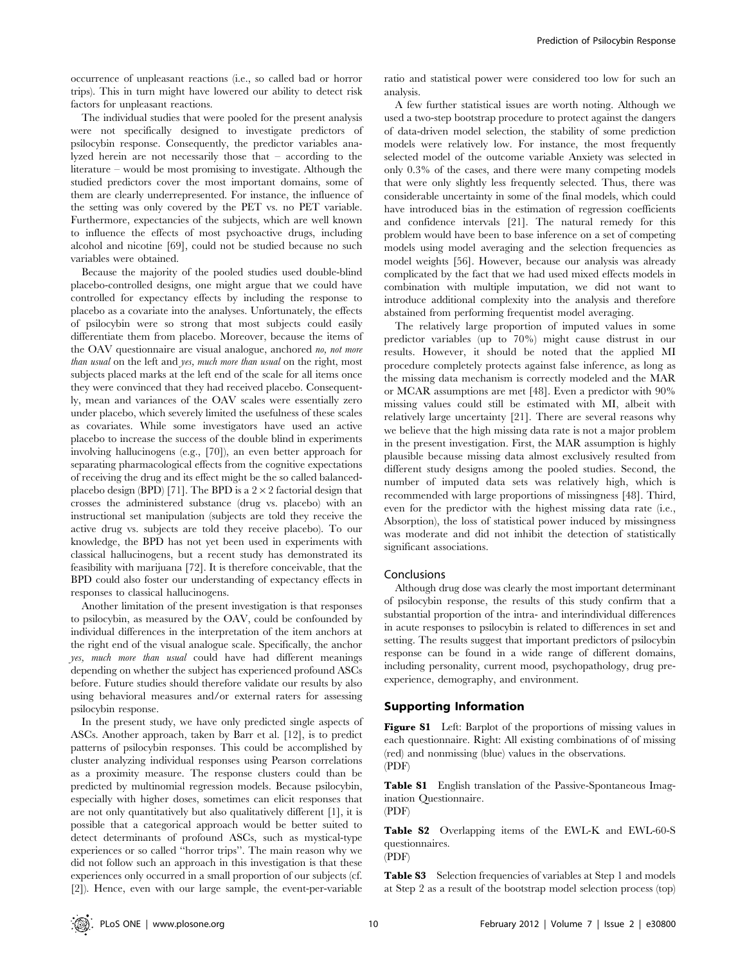occurrence of unpleasant reactions (i.e., so called bad or horror trips). This in turn might have lowered our ability to detect risk factors for unpleasant reactions.

The individual studies that were pooled for the present analysis were not specifically designed to investigate predictors of psilocybin response. Consequently, the predictor variables analyzed herein are not necessarily those that – according to the literature – would be most promising to investigate. Although the studied predictors cover the most important domains, some of them are clearly underrepresented. For instance, the influence of the setting was only covered by the PET vs. no PET variable. Furthermore, expectancies of the subjects, which are well known to influence the effects of most psychoactive drugs, including alcohol and nicotine [69], could not be studied because no such variables were obtained.

Because the majority of the pooled studies used double-blind placebo-controlled designs, one might argue that we could have controlled for expectancy effects by including the response to placebo as a covariate into the analyses. Unfortunately, the effects of psilocybin were so strong that most subjects could easily differentiate them from placebo. Moreover, because the items of the OAV questionnaire are visual analogue, anchored no, not more than usual on the left and yes, much more than usual on the right, most subjects placed marks at the left end of the scale for all items once they were convinced that they had received placebo. Consequently, mean and variances of the OAV scales were essentially zero under placebo, which severely limited the usefulness of these scales as covariates. While some investigators have used an active placebo to increase the success of the double blind in experiments involving hallucinogens (e.g., [70]), an even better approach for separating pharmacological effects from the cognitive expectations of receiving the drug and its effect might be the so called balancedplacebo design (BPD) [71]. The BPD is a  $2 \times 2$  factorial design that crosses the administered substance (drug vs. placebo) with an instructional set manipulation (subjects are told they receive the active drug vs. subjects are told they receive placebo). To our knowledge, the BPD has not yet been used in experiments with classical hallucinogens, but a recent study has demonstrated its feasibility with marijuana [72]. It is therefore conceivable, that the BPD could also foster our understanding of expectancy effects in responses to classical hallucinogens.

Another limitation of the present investigation is that responses to psilocybin, as measured by the OAV, could be confounded by individual differences in the interpretation of the item anchors at the right end of the visual analogue scale. Specifically, the anchor yes, much more than usual could have had different meanings depending on whether the subject has experienced profound ASCs before. Future studies should therefore validate our results by also using behavioral measures and/or external raters for assessing psilocybin response.

In the present study, we have only predicted single aspects of ASCs. Another approach, taken by Barr et al. [12], is to predict patterns of psilocybin responses. This could be accomplished by cluster analyzing individual responses using Pearson correlations as a proximity measure. The response clusters could than be predicted by multinomial regression models. Because psilocybin, especially with higher doses, sometimes can elicit responses that are not only quantitatively but also qualitatively different [1], it is possible that a categorical approach would be better suited to detect determinants of profound ASCs, such as mystical-type experiences or so called ''horror trips''. The main reason why we did not follow such an approach in this investigation is that these experiences only occurred in a small proportion of our subjects (cf. [2]). Hence, even with our large sample, the event-per-variable

ratio and statistical power were considered too low for such an analysis.

A few further statistical issues are worth noting. Although we used a two-step bootstrap procedure to protect against the dangers of data-driven model selection, the stability of some prediction models were relatively low. For instance, the most frequently selected model of the outcome variable Anxiety was selected in only 0.3% of the cases, and there were many competing models that were only slightly less frequently selected. Thus, there was considerable uncertainty in some of the final models, which could have introduced bias in the estimation of regression coefficients and confidence intervals [21]. The natural remedy for this problem would have been to base inference on a set of competing models using model averaging and the selection frequencies as model weights [56]. However, because our analysis was already complicated by the fact that we had used mixed effects models in combination with multiple imputation, we did not want to introduce additional complexity into the analysis and therefore abstained from performing frequentist model averaging.

The relatively large proportion of imputed values in some predictor variables (up to 70%) might cause distrust in our results. However, it should be noted that the applied MI procedure completely protects against false inference, as long as the missing data mechanism is correctly modeled and the MAR or MCAR assumptions are met [48]. Even a predictor with 90% missing values could still be estimated with MI, albeit with relatively large uncertainty [21]. There are several reasons why we believe that the high missing data rate is not a major problem in the present investigation. First, the MAR assumption is highly plausible because missing data almost exclusively resulted from different study designs among the pooled studies. Second, the number of imputed data sets was relatively high, which is recommended with large proportions of missingness [48]. Third, even for the predictor with the highest missing data rate (i.e., Absorption), the loss of statistical power induced by missingness was moderate and did not inhibit the detection of statistically significant associations.

#### Conclusions

Although drug dose was clearly the most important determinant of psilocybin response, the results of this study confirm that a substantial proportion of the intra- and interindividual differences in acute responses to psilocybin is related to differences in set and setting. The results suggest that important predictors of psilocybin response can be found in a wide range of different domains, including personality, current mood, psychopathology, drug preexperience, demography, and environment.

#### Supporting Information

Figure S1 Left: Barplot of the proportions of missing values in each questionnaire. Right: All existing combinations of of missing (red) and nonmissing (blue) values in the observations. (PDF)

Table S1 English translation of the Passive-Spontaneous Imagination Questionnaire. (PDF)

Table S2 Overlapping items of the EWL-K and EWL-60-S questionnaires. (PDF)

Table S3 Selection frequencies of variables at Step 1 and models at Step 2 as a result of the bootstrap model selection process (top)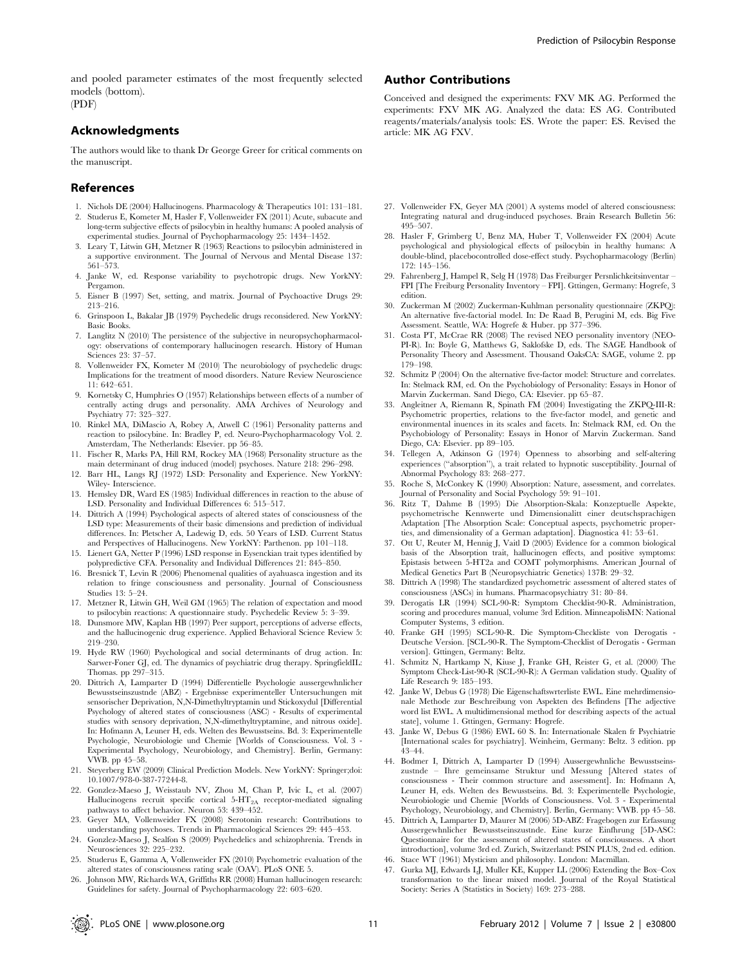and pooled parameter estimates of the most frequently selected models (bottom). (PDF)

# Acknowledgments

The authors would like to thank Dr George Greer for critical comments on the manuscript.

#### References

- 1. Nichols DE (2004) Hallucinogens. Pharmacology & Therapeutics 101: 131–181.
- 2. Studerus E, Kometer M, Hasler F, Vollenweider FX (2011) Acute, subacute and long-term subjective effects of psilocybin in healthy humans: A pooled analysis of experimental studies. Journal of Psychopharmacology 25: 1434–1452.
- 3. Leary T, Litwin GH, Metzner R (1963) Reactions to psilocybin administered in a supportive environment. The Journal of Nervous and Mental Disease 137: 561–573.
- 4. Janke W, ed. Response variability to psychotropic drugs. New YorkNY: Pergamon.
- 5. Eisner B (1997) Set, setting, and matrix. Journal of Psychoactive Drugs 29: 213–216.
- 6. Grinspoon L, Bakalar JB (1979) Psychedelic drugs reconsidered. New YorkNY: Basic Books.
- 7. Langlitz N (2010) The persistence of the subjective in neuropsychopharmacology: observations of contemporary hallucinogen research. History of Human Sciences 23: 37–57.
- 8. Vollenweider FX, Kometer M (2010) The neurobiology of psychedelic drugs: Implications for the treatment of mood disorders. Nature Review Neuroscience 11: 642–651.
- 9. Kornetsky C, Humphries O (1957) Relationships between effects of a number of centrally acting drugs and personality. AMA Archives of Neurology and Psychiatry 77: 325–327.
- 10. Rinkel MA, DiMascio A, Robey A, Atwell C (1961) Personality patterns and reaction to psilocybine. In: Bradley P, ed. Neuro-Psychopharmacology Vol. 2. Amsterdam, The Netherlands: Elsevier. pp 56–85.
- 11. Fischer R, Marks PA, Hill RM, Rockey MA (1968) Personality structure as the main determinant of drug induced (model) psychoses. Nature 218: 296–298.
- 12. Barr HL, Langs RJ (1972) LSD: Personality and Experience. New YorkNY: Wiley- Interscience
- 13. Hemsley DR, Ward ES (1985) Individual differences in reaction to the abuse of LSD. Personality and Individual Differences 6: 515–517.
- 14. Dittrich A (1994) Psychological aspects of altered states of consciousness of the LSD type: Measurements of their basic dimensions and prediction of individual differences. In: Pletscher A, Ladewig D, eds. 50 Years of LSD. Current Status and Perspectives of Hallucinogens. New YorkNY: Parthenon. pp 101–118.
- 15. Lienert GA, Netter P (1996) LSD response in Eysenckian trait types identified by polypredictive CFA. Personality and Individual Differences 21: 845–850.
- 16. Bresnick T, Levin R (2006) Phenomenal qualities of ayahuasca ingestion and its relation to fringe consciousness and personality. Journal of Consciousness Studies 13: 5–24.
- 17. Metzner R, Litwin GH, Weil GM (1965) The relation of expectation and mood to psilocybin reactions: A questionnaire study. Psychedelic Review 5: 3–39.
- 18. Dunsmore MW, Kaplan HB (1997) Peer support, perceptions of adverse effects, and the hallucinogenic drug experience. Applied Behavioral Science Review 5: 219–230.
- 19. Hyde RW (1960) Psychological and social determinants of drug action. In: Sarwer-Foner GJ, ed. The dynamics of psychiatric drug therapy. SpringfieldIL: Thomas. pp 297–315.
- 20. Dittrich A, Lamparter D (1994) Differentielle Psychologie aussergewhnlicher Bewusstseinszustnde (ABZ) - Ergebnisse experimenteller Untersuchungen mit sensorischer Deprivation, N,N-Dimethyltryptamin und Stickoxydul [Differential Psychology of altered states of consciousness (ASC) - Results of experimental studies with sensory deprivation, N,N-dimethyltryptamine, and nitrous oxide]. In: Hofmann A, Leuner H, eds. Welten des Bewusstseins. Bd. 3: Experimentelle Psychologie, Neurobiologie und Chemie [Worlds of Consciousness. Vol. 3 - Experimental Psychology, Neurobiology, and Chemistry]. Berlin, Germany: VWB. pp 45–58.
- 21. Steyerberg EW (2009) Clinical Prediction Models. New YorkNY: Springer;doi: 10.1007/978-0-387-77244-8.
- 22. Gonzlez-Maeso J, Weisstaub NV, Zhou M, Chan P, Ivic L, et al. (2007) Hallucinogens recruit specific cortical 5-HT2A receptor-mediated signaling pathways to affect behavior. Neuron 53: 439–452.
- 23. Geyer MA, Vollenweider FX (2008) Serotonin research: Contributions to understanding psychoses. Trends in Pharmacological Sciences 29: 445–453.
- 24. Gonzlez-Maeso J, Sealfon S (2009) Psychedelics and schizophrenia. Trends in Neurosciences 32: 225–232.
- 25. Studerus E, Gamma A, Vollenweider FX (2010) Psychometric evaluation of the altered states of consciousness rating scale (OAV). PLoS ONE 5.
- 26. Johnson MW, Richards WA, Griffiths RR (2008) Human hallucinogen research: Guidelines for safety. Journal of Psychopharmacology 22: 603–620.

# Author Contributions

Conceived and designed the experiments: FXV MK AG. Performed the experiments: FXV MK AG. Analyzed the data: ES AG. Contributed reagents/materials/analysis tools: ES. Wrote the paper: ES. Revised the article: MK AG FXV.

- 27. Vollenweider FX, Geyer MA (2001) A systems model of altered consciousness: Integrating natural and drug-induced psychoses. Brain Research Bulletin 56: 495–507.
- 28. Hasler F, Grimberg U, Benz MA, Huber T, Vollenweider FX (2004) Acute psychological and physiological effects of psilocybin in healthy humans: A double-blind, placebocontrolled dose-effect study. Psychopharmacology (Berlin) 172: 145–156.
- 29. Fahrenberg J, Hampel R, Selg H (1978) Das Freiburger Persnlichkeitsinventar FPI [The Freiburg Personality Inventory – FPI]. Gttingen, Germany: Hogrefe, 3 edition.
- 30. Zuckerman M (2002) Zuckerman-Kuhlman personality questionnaire (ZKPQ): An alternative five-factorial model. In: De Raad B, Perugini M, eds. Big Five Assessment. Seattle, WA: Hogrefe & Huber. pp 377–396.
- 31. Costa PT, McCrae RR (2008) The revised NEO personality inventory (NEO-PI-R). In: Boyle G, Matthews G, Saklofske D, eds. The SAGE Handbook of Personality Theory and Assessment. Thousand OaksCA: SAGE, volume 2. pp 179–198.
- 32. Schmitz P (2004) On the alternative five-factor model: Structure and correlates. In: Stelmack RM, ed. On the Psychobiology of Personality: Essays in Honor of Marvin Zuckerman. Sand Diego, CA: Elsevier. pp 65–87.
- 33. Angleitner A, Riemann R, Spinath FM (2004) Investigating the ZKPQ-III-R: Psychometric properties, relations to the five-factor model, and genetic and environmental inuences in its scales and facets. In: Stelmack RM, ed. On the Psychobiology of Personality: Essays in Honor of Marvin Zuckerman. Sand Diego, CA: Elsevier. pp 89–105.
- 34. Tellegen A, Atkinson G (1974) Openness to absorbing and self-altering experiences (''absorption''), a trait related to hypnotic susceptibility. Journal of Abnormal Psychology 83: 268–277.
- 35. Roche S, McConkey K (1990) Absorption: Nature, assessment, and correlates. Journal of Personality and Social Psychology 59: 91–101.
- 36. Ritz T, Dahme B (1995) Die Absorption-Skala: Konzeptuelle Aspekte, psychometrische Kennwerte und Dimensionalitt einer deutschsprachigen Adaptation [The Absorption Scale: Conceptual aspects, psychometric properties, and dimensionality of a German adaptation]. Diagnostica 41: 53–61.
- 37. Ott U, Reuter M, Hennig J, Vaitl D (2005) Evidence for a common biological basis of the Absorption trait, hallucinogen effects, and positive symptoms: Epistasis between 5-HT2a and COMT polymorphisms. American Journal of Medical Genetics Part B (Neuropsychiatric Genetics) 137B: 29–32.
- 38. Dittrich A (1998) The standardized psychometric assessment of altered states of consciousness (ASCs) in humans. Pharmacopsychiatry 31: 80–84.
- 39. Derogatis LR (1994) SCL-90-R: Symptom Checklist-90-R. Administration, scoring and procedures manual, volume 3rd Edition. MinneapolisMN: National Computer Systems, 3 edition.
- 40. Franke GH (1995) SCL-90-R. Die Symptom-Checkliste von Derogatis Deutsche Version. [SCL-90-R. The Symptom-Checklist of Derogatis - German version]. Gttingen, Germany: Beltz.
- 41. Schmitz N, Hartkamp N, Kiuse J, Franke GH, Reister G, et al. (2000) The Symptom Check-List-90-R (SCL-90-R): A German validation study. Quality of Life Research 9: 185–193.
- 42. Janke W, Debus G (1978) Die Eigenschaftswrterliste EWL. Eine mehrdimensionale Methode zur Beschreibung von Aspekten des Befindens [The adjective word list EWL. A multidimensional method for describing aspects of the actual state], volume 1. Gttingen, Germany: Hogrefe.
- 43. Janke W, Debus G (1986) EWL 60 S. In: Internationale Skalen fr Psychiatrie [International scales for psychiatry]. Weinheim, Germany: Beltz. 3 edition. pp 43–44.
- 44. Bodmer I, Dittrich A, Lamparter D (1994) Aussergewhnliche Bewusstseinszustnde – Ihre gemeinsame Struktur und Messung [Altered states of consciousness - Their common structure and assessment]. In: Hofmann A, Leuner H, eds. Welten des Bewusstseins. Bd. 3: Experimentelle Psychologie, Neurobiologie und Chemie [Worlds of Consciousness. Vol. 3 - Experimental Psychology, Neurobiology, and Chemistry]. Berlin, Germany: VWB. pp 45–58.
- 45. Dittrich A, Lamparter D, Maurer M (2006) 5D-ABZ: Fragebogen zur Erfassung Aussergewhnlicher Bewusstseinszustnde. Eine kurze Einfhrung [5D-ASC: Questionnaire for the assessment of altered states of consciousness. A short introduction], volume 3rd ed. Zurich, Switzerland: PSIN PLUS, 2nd ed. edition.
- 46. Stace WT (1961) Mysticism and philosophy. London: Macmillan.
- 47. Gurka MJ, Edwards LJ, Muller KE, Kupper LL (2006) Extending the Box–Cox transformation to the linear mixed model. Journal of the Royal Statistical Society: Series A (Statistics in Society) 169: 273–288.